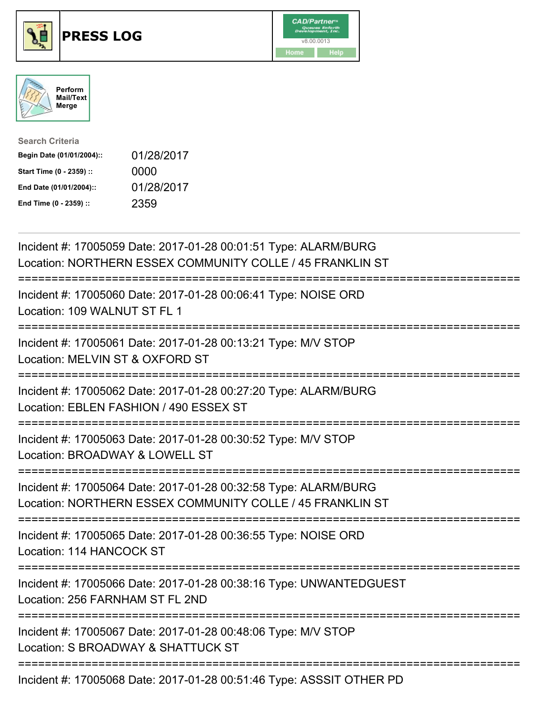





| <b>Search Criteria</b>    |            |
|---------------------------|------------|
| Begin Date (01/01/2004):: | 01/28/2017 |
| Start Time (0 - 2359) ::  | 0000       |
| End Date (01/01/2004)::   | 01/28/2017 |
| End Time (0 - 2359) ::    | 2359       |

| Incident #: 17005059 Date: 2017-01-28 00:01:51 Type: ALARM/BURG<br>Location: NORTHERN ESSEX COMMUNITY COLLE / 45 FRANKLIN ST                                           |
|------------------------------------------------------------------------------------------------------------------------------------------------------------------------|
| Incident #: 17005060 Date: 2017-01-28 00:06:41 Type: NOISE ORD<br>Location: 109 WALNUT ST FL 1                                                                         |
| Incident #: 17005061 Date: 2017-01-28 00:13:21 Type: M/V STOP<br>Location: MELVIN ST & OXFORD ST                                                                       |
| Incident #: 17005062 Date: 2017-01-28 00:27:20 Type: ALARM/BURG<br>Location: EBLEN FASHION / 490 ESSEX ST                                                              |
| Incident #: 17005063 Date: 2017-01-28 00:30:52 Type: M/V STOP<br>Location: BROADWAY & LOWELL ST<br>-------------                                                       |
| Incident #: 17005064 Date: 2017-01-28 00:32:58 Type: ALARM/BURG<br>Location: NORTHERN ESSEX COMMUNITY COLLE / 45 FRANKLIN ST<br>______________________________________ |
| Incident #: 17005065 Date: 2017-01-28 00:36:55 Type: NOISE ORD<br>Location: 114 HANCOCK ST                                                                             |
| Incident #: 17005066 Date: 2017-01-28 00:38:16 Type: UNWANTEDGUEST<br>Location: 256 FARNHAM ST FL 2ND                                                                  |
| Incident #: 17005067 Date: 2017-01-28 00:48:06 Type: M/V STOP<br>Location: S BROADWAY & SHATTUCK ST                                                                    |
| Incident #: 17005068 Date: 2017-01-28 00:51:46 Type: ASSSIT OTHER PD                                                                                                   |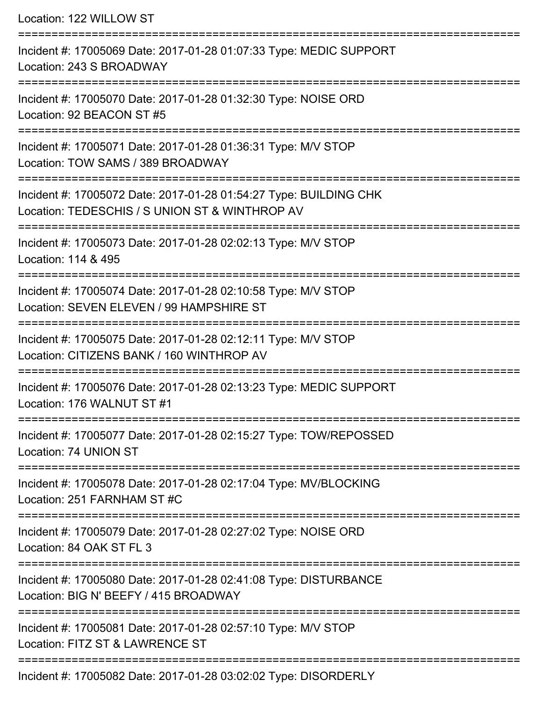Location: 122 WILLOW ST =========================================================================== Incident #: 17005069 Date: 2017-01-28 01:07:33 Type: MEDIC SUPPORT Location: 243 S BROADWAY =========================================================================== Incident #: 17005070 Date: 2017-01-28 01:32:30 Type: NOISE ORD Location: 92 BEACON ST #5 =========================================================================== Incident #: 17005071 Date: 2017-01-28 01:36:31 Type: M/V STOP Location: TOW SAMS / 389 BROADWAY =========================================================================== Incident #: 17005072 Date: 2017-01-28 01:54:27 Type: BUILDING CHK Location: TEDESCHIS / S UNION ST & WINTHROP AV =========================================================================== Incident #: 17005073 Date: 2017-01-28 02:02:13 Type: M/V STOP Location: 114 & 495 =========================================================================== Incident #: 17005074 Date: 2017-01-28 02:10:58 Type: M/V STOP Location: SEVEN ELEVEN / 99 HAMPSHIRE ST =========================================================================== Incident #: 17005075 Date: 2017-01-28 02:12:11 Type: M/V STOP Location: CITIZENS BANK / 160 WINTHROP AV =========================================================================== Incident #: 17005076 Date: 2017-01-28 02:13:23 Type: MEDIC SUPPORT Location: 176 WALNUT ST #1 =========================================================================== Incident #: 17005077 Date: 2017-01-28 02:15:27 Type: TOW/REPOSSED Location: 74 UNION ST =========================================================================== Incident #: 17005078 Date: 2017-01-28 02:17:04 Type: MV/BLOCKING Location: 251 FARNHAM ST #C =========================================================================== Incident #: 17005079 Date: 2017-01-28 02:27:02 Type: NOISE ORD Location: 84 OAK ST FL 3 =========================================================================== Incident #: 17005080 Date: 2017-01-28 02:41:08 Type: DISTURBANCE Location: BIG N' BEEFY / 415 BROADWAY =========================================================================== Incident #: 17005081 Date: 2017-01-28 02:57:10 Type: M/V STOP Location: FITZ ST & LAWRENCE ST =========================================================================== Incident #: 17005082 Date: 2017-01-28 03:02:02 Type: DISORDERLY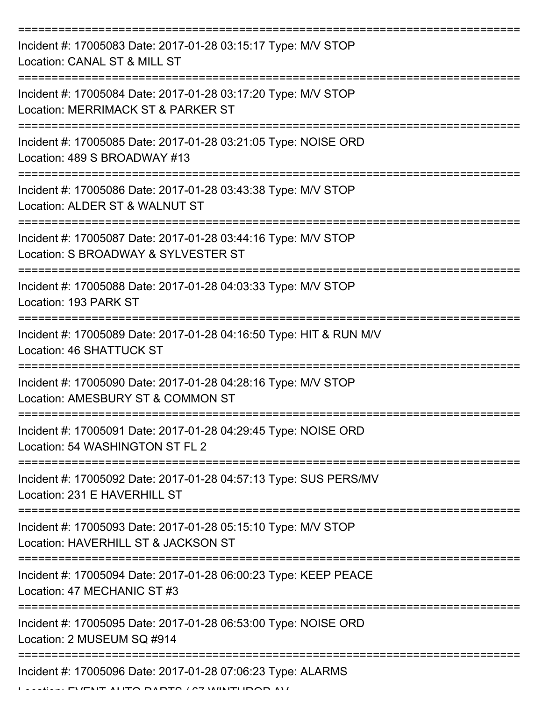| Incident #: 17005083 Date: 2017-01-28 03:15:17 Type: M/V STOP<br>Location: CANAL ST & MILL ST         |
|-------------------------------------------------------------------------------------------------------|
| Incident #: 17005084 Date: 2017-01-28 03:17:20 Type: M/V STOP<br>Location: MERRIMACK ST & PARKER ST   |
| Incident #: 17005085 Date: 2017-01-28 03:21:05 Type: NOISE ORD<br>Location: 489 S BROADWAY #13        |
| Incident #: 17005086 Date: 2017-01-28 03:43:38 Type: M/V STOP<br>Location: ALDER ST & WALNUT ST       |
| Incident #: 17005087 Date: 2017-01-28 03:44:16 Type: M/V STOP<br>Location: S BROADWAY & SYLVESTER ST  |
| Incident #: 17005088 Date: 2017-01-28 04:03:33 Type: M/V STOP<br>Location: 193 PARK ST                |
| Incident #: 17005089 Date: 2017-01-28 04:16:50 Type: HIT & RUN M/V<br><b>Location: 46 SHATTUCK ST</b> |
| Incident #: 17005090 Date: 2017-01-28 04:28:16 Type: M/V STOP<br>Location: AMESBURY ST & COMMON ST    |
| Incident #: 17005091 Date: 2017-01-28 04:29:45 Type: NOISE ORD<br>Location: 54 WASHINGTON ST FL 2     |
| Incident #: 17005092 Date: 2017-01-28 04:57:13 Type: SUS PERS/MV<br>Location: 231 E HAVERHILL ST      |
| Incident #: 17005093 Date: 2017-01-28 05:15:10 Type: M/V STOP<br>Location: HAVERHILL ST & JACKSON ST  |
| Incident #: 17005094 Date: 2017-01-28 06:00:23 Type: KEEP PEACE<br>Location: 47 MECHANIC ST #3        |
| Incident #: 17005095 Date: 2017-01-28 06:53:00 Type: NOISE ORD<br>Location: 2 MUSEUM SQ #914          |
| Incident #: 17005096 Date: 2017-01-28 07:06:23 Type: ALARMS                                           |

Location: EVENT AUTO PARTS / 67 WINTHROP AV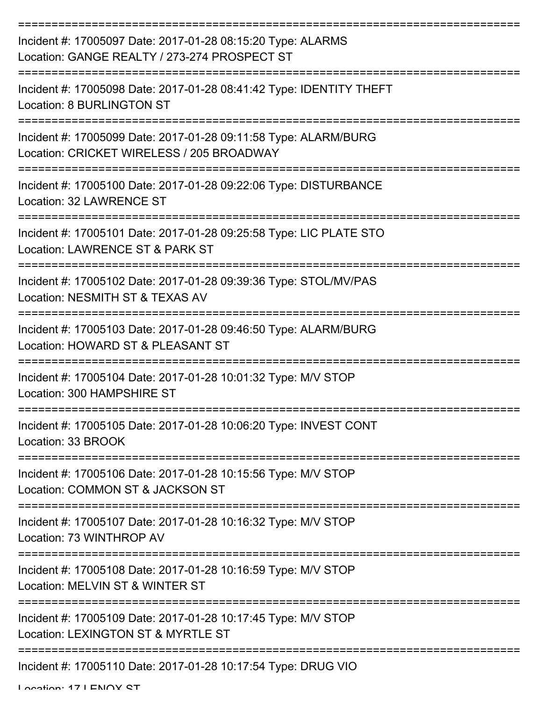| Incident #: 17005097 Date: 2017-01-28 08:15:20 Type: ALARMS<br>Location: GANGE REALTY / 273-274 PROSPECT ST          |
|----------------------------------------------------------------------------------------------------------------------|
| Incident #: 17005098 Date: 2017-01-28 08:41:42 Type: IDENTITY THEFT<br><b>Location: 8 BURLINGTON ST</b>              |
| Incident #: 17005099 Date: 2017-01-28 09:11:58 Type: ALARM/BURG<br>Location: CRICKET WIRELESS / 205 BROADWAY         |
| Incident #: 17005100 Date: 2017-01-28 09:22:06 Type: DISTURBANCE<br>Location: 32 LAWRENCE ST                         |
| Incident #: 17005101 Date: 2017-01-28 09:25:58 Type: LIC PLATE STO<br>Location: LAWRENCE ST & PARK ST                |
| Incident #: 17005102 Date: 2017-01-28 09:39:36 Type: STOL/MV/PAS<br>Location: NESMITH ST & TEXAS AV                  |
| Incident #: 17005103 Date: 2017-01-28 09:46:50 Type: ALARM/BURG<br>Location: HOWARD ST & PLEASANT ST                 |
| Incident #: 17005104 Date: 2017-01-28 10:01:32 Type: M/V STOP<br>Location: 300 HAMPSHIRE ST                          |
| Incident #: 17005105 Date: 2017-01-28 10:06:20 Type: INVEST CONT<br>Location: 33 BROOK                               |
| ===============<br>Incident #: 17005106 Date: 2017-01-28 10:15:56 Type: M/V STOP<br>Location: COMMON ST & JACKSON ST |
| Incident #: 17005107 Date: 2017-01-28 10:16:32 Type: M/V STOP<br>Location: 73 WINTHROP AV                            |
| Incident #: 17005108 Date: 2017-01-28 10:16:59 Type: M/V STOP<br>Location: MELVIN ST & WINTER ST                     |
| Incident #: 17005109 Date: 2017-01-28 10:17:45 Type: M/V STOP<br>Location: LEXINGTON ST & MYRTLE ST                  |
| Incident #: 17005110 Date: 2017-01-28 10:17:54 Type: DRUG VIO                                                        |

Location: 17 | ENOY CT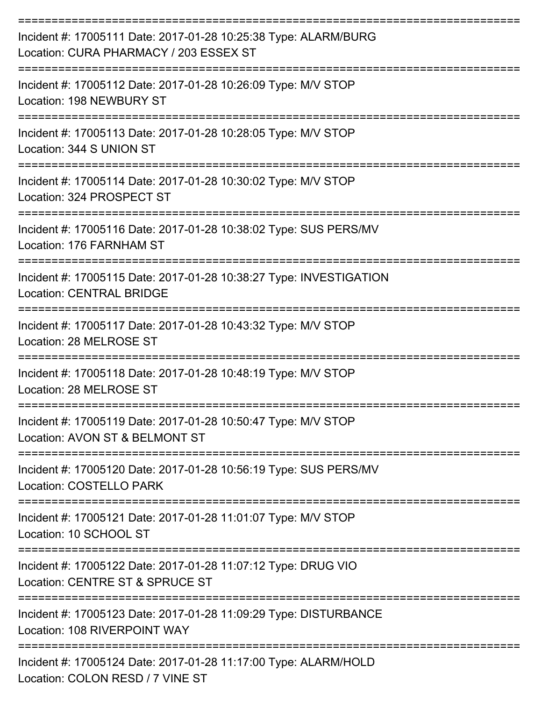| Incident #: 17005111 Date: 2017-01-28 10:25:38 Type: ALARM/BURG<br>Location: CURA PHARMACY / 203 ESSEX ST |
|-----------------------------------------------------------------------------------------------------------|
| Incident #: 17005112 Date: 2017-01-28 10:26:09 Type: M/V STOP<br>Location: 198 NEWBURY ST                 |
| Incident #: 17005113 Date: 2017-01-28 10:28:05 Type: M/V STOP<br>Location: 344 S UNION ST                 |
| Incident #: 17005114 Date: 2017-01-28 10:30:02 Type: M/V STOP<br>Location: 324 PROSPECT ST                |
| Incident #: 17005116 Date: 2017-01-28 10:38:02 Type: SUS PERS/MV<br>Location: 176 FARNHAM ST              |
| Incident #: 17005115 Date: 2017-01-28 10:38:27 Type: INVESTIGATION<br><b>Location: CENTRAL BRIDGE</b>     |
| Incident #: 17005117 Date: 2017-01-28 10:43:32 Type: M/V STOP<br>Location: 28 MELROSE ST                  |
| Incident #: 17005118 Date: 2017-01-28 10:48:19 Type: M/V STOP<br>Location: 28 MELROSE ST                  |
| Incident #: 17005119 Date: 2017-01-28 10:50:47 Type: M/V STOP<br>Location: AVON ST & BELMONT ST           |
| Incident #: 17005120 Date: 2017-01-28 10:56:19 Type: SUS PERS/MV<br>Location: COSTELLO PARK               |
| Incident #: 17005121 Date: 2017-01-28 11:01:07 Type: M/V STOP<br>Location: 10 SCHOOL ST                   |
| Incident #: 17005122 Date: 2017-01-28 11:07:12 Type: DRUG VIO<br>Location: CENTRE ST & SPRUCE ST          |
| Incident #: 17005123 Date: 2017-01-28 11:09:29 Type: DISTURBANCE<br>Location: 108 RIVERPOINT WAY          |
| Incident #: 17005124 Date: 2017-01-28 11:17:00 Type: ALARM/HOLD<br>Location: COLON RESD / 7 VINE ST       |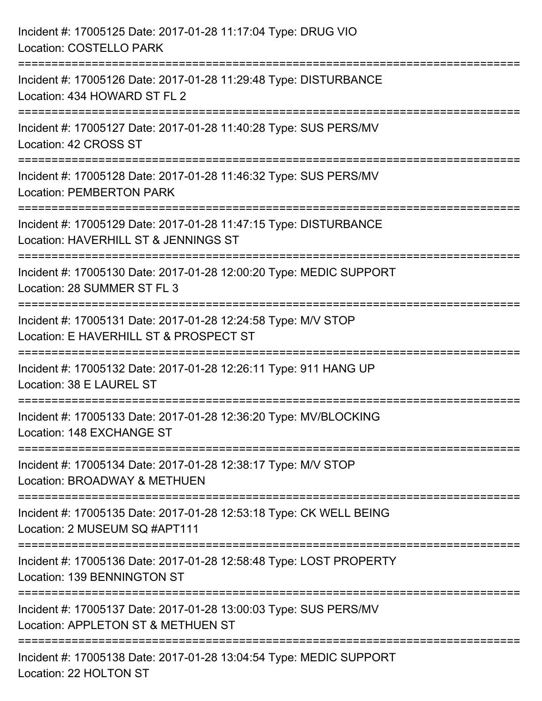| Incident #: 17005125 Date: 2017-01-28 11:17:04 Type: DRUG VIO<br><b>Location: COSTELLO PARK</b>                                                                     |
|---------------------------------------------------------------------------------------------------------------------------------------------------------------------|
| ====================================<br>Incident #: 17005126 Date: 2017-01-28 11:29:48 Type: DISTURBANCE<br>Location: 434 HOWARD ST FL 2                            |
| Incident #: 17005127 Date: 2017-01-28 11:40:28 Type: SUS PERS/MV<br>Location: 42 CROSS ST                                                                           |
| Incident #: 17005128 Date: 2017-01-28 11:46:32 Type: SUS PERS/MV<br><b>Location: PEMBERTON PARK</b>                                                                 |
| Incident #: 17005129 Date: 2017-01-28 11:47:15 Type: DISTURBANCE<br>Location: HAVERHILL ST & JENNINGS ST                                                            |
| Incident #: 17005130 Date: 2017-01-28 12:00:20 Type: MEDIC SUPPORT<br>Location: 28 SUMMER ST FL 3<br>.====================<br>----------------<br>----------------- |
| Incident #: 17005131 Date: 2017-01-28 12:24:58 Type: M/V STOP<br>Location: E HAVERHILL ST & PROSPECT ST                                                             |
| Incident #: 17005132 Date: 2017-01-28 12:26:11 Type: 911 HANG UP<br>Location: 38 E LAUREL ST                                                                        |
| Incident #: 17005133 Date: 2017-01-28 12:36:20 Type: MV/BLOCKING<br>Location: 148 EXCHANGE ST                                                                       |
| Incident #: 17005134 Date: 2017-01-28 12:38:17 Type: M/V STOP<br>Location: BROADWAY & METHUEN                                                                       |
| Incident #: 17005135 Date: 2017-01-28 12:53:18 Type: CK WELL BEING<br>Location: 2 MUSEUM SQ #APT111                                                                 |
| Incident #: 17005136 Date: 2017-01-28 12:58:48 Type: LOST PROPERTY<br>Location: 139 BENNINGTON ST                                                                   |
| Incident #: 17005137 Date: 2017-01-28 13:00:03 Type: SUS PERS/MV<br>Location: APPLETON ST & METHUEN ST                                                              |
| Incident #: 17005138 Date: 2017-01-28 13:04:54 Type: MEDIC SUPPORT<br>Location: 22 HOLTON ST                                                                        |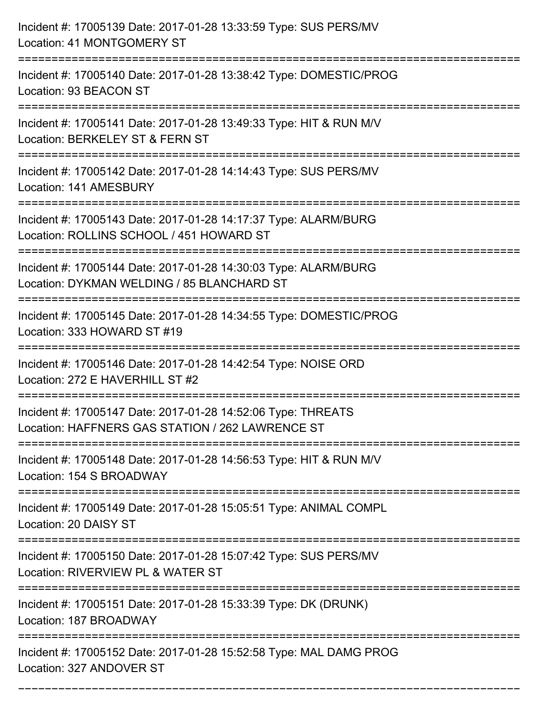| Incident #: 17005139 Date: 2017-01-28 13:33:59 Type: SUS PERS/MV<br>Location: 41 MONTGOMERY ST                                                  |
|-------------------------------------------------------------------------------------------------------------------------------------------------|
| Incident #: 17005140 Date: 2017-01-28 13:38:42 Type: DOMESTIC/PROG<br>Location: 93 BEACON ST                                                    |
| Incident #: 17005141 Date: 2017-01-28 13:49:33 Type: HIT & RUN M/V<br>Location: BERKELEY ST & FERN ST<br>=================================      |
| Incident #: 17005142 Date: 2017-01-28 14:14:43 Type: SUS PERS/MV<br>Location: 141 AMESBURY                                                      |
| Incident #: 17005143 Date: 2017-01-28 14:17:37 Type: ALARM/BURG<br>Location: ROLLINS SCHOOL / 451 HOWARD ST                                     |
| Incident #: 17005144 Date: 2017-01-28 14:30:03 Type: ALARM/BURG<br>Location: DYKMAN WELDING / 85 BLANCHARD ST<br>============================== |
| Incident #: 17005145 Date: 2017-01-28 14:34:55 Type: DOMESTIC/PROG<br>Location: 333 HOWARD ST #19                                               |
| Incident #: 17005146 Date: 2017-01-28 14:42:54 Type: NOISE ORD<br>Location: 272 E HAVERHILL ST #2                                               |
| Incident #: 17005147 Date: 2017-01-28 14:52:06 Type: THREATS<br>Location: HAFFNERS GAS STATION / 262 LAWRENCE ST                                |
| Incident #: 17005148 Date: 2017-01-28 14:56:53 Type: HIT & RUN M/V<br>Location: 154 S BROADWAY                                                  |
| Incident #: 17005149 Date: 2017-01-28 15:05:51 Type: ANIMAL COMPL<br>Location: 20 DAISY ST                                                      |
| Incident #: 17005150 Date: 2017-01-28 15:07:42 Type: SUS PERS/MV<br>Location: RIVERVIEW PL & WATER ST                                           |
| Incident #: 17005151 Date: 2017-01-28 15:33:39 Type: DK (DRUNK)<br>Location: 187 BROADWAY                                                       |
| Incident #: 17005152 Date: 2017-01-28 15:52:58 Type: MAL DAMG PROG<br>Location: 327 ANDOVER ST                                                  |

===========================================================================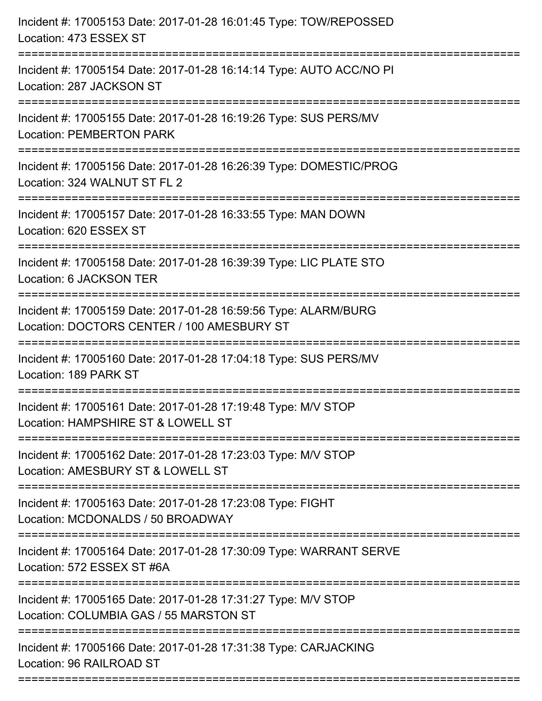| Incident #: 17005153 Date: 2017-01-28 16:01:45 Type: TOW/REPOSSED<br>Location: 473 ESSEX ST                       |
|-------------------------------------------------------------------------------------------------------------------|
| Incident #: 17005154 Date: 2017-01-28 16:14:14 Type: AUTO ACC/NO PI<br>Location: 287 JACKSON ST                   |
| Incident #: 17005155 Date: 2017-01-28 16:19:26 Type: SUS PERS/MV<br><b>Location: PEMBERTON PARK</b>               |
| Incident #: 17005156 Date: 2017-01-28 16:26:39 Type: DOMESTIC/PROG<br>Location: 324 WALNUT ST FL 2                |
| Incident #: 17005157 Date: 2017-01-28 16:33:55 Type: MAN DOWN<br>Location: 620 ESSEX ST<br>====================== |
| Incident #: 17005158 Date: 2017-01-28 16:39:39 Type: LIC PLATE STO<br>Location: 6 JACKSON TER                     |
| Incident #: 17005159 Date: 2017-01-28 16:59:56 Type: ALARM/BURG<br>Location: DOCTORS CENTER / 100 AMESBURY ST     |
| Incident #: 17005160 Date: 2017-01-28 17:04:18 Type: SUS PERS/MV<br>Location: 189 PARK ST                         |
| Incident #: 17005161 Date: 2017-01-28 17:19:48 Type: M/V STOP<br>Location: HAMPSHIRE ST & LOWELL ST               |
| Incident #: 17005162 Date: 2017-01-28 17:23:03 Type: M/V STOP<br>Location: AMESBURY ST & LOWELL ST                |
| Incident #: 17005163 Date: 2017-01-28 17:23:08 Type: FIGHT<br>Location: MCDONALDS / 50 BROADWAY                   |
| Incident #: 17005164 Date: 2017-01-28 17:30:09 Type: WARRANT SERVE<br>Location: 572 ESSEX ST #6A                  |
| Incident #: 17005165 Date: 2017-01-28 17:31:27 Type: M/V STOP<br>Location: COLUMBIA GAS / 55 MARSTON ST           |
| Incident #: 17005166 Date: 2017-01-28 17:31:38 Type: CARJACKING<br>Location: 96 RAILROAD ST                       |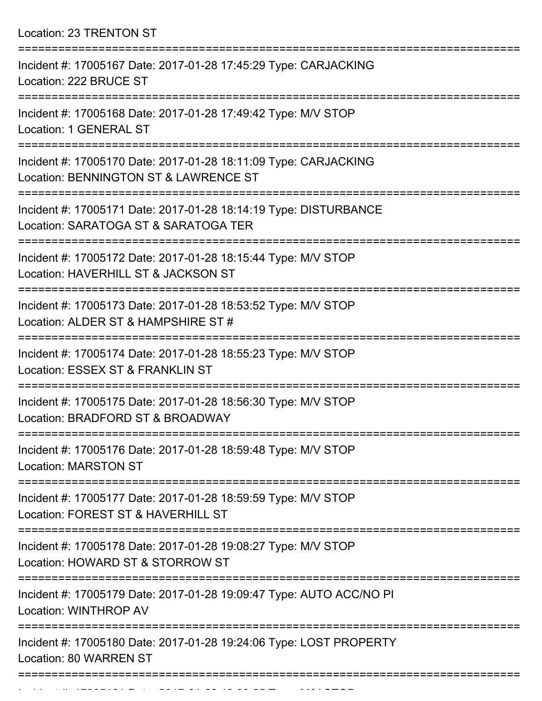Location: 23 TRENTON ST

| Incident #: 17005167 Date: 2017-01-28 17:45:29 Type: CARJACKING<br>Location: 222 BRUCE ST                |
|----------------------------------------------------------------------------------------------------------|
| Incident #: 17005168 Date: 2017-01-28 17:49:42 Type: M/V STOP<br><b>Location: 1 GENERAL ST</b>           |
| Incident #: 17005170 Date: 2017-01-28 18:11:09 Type: CARJACKING<br>Location: BENNINGTON ST & LAWRENCE ST |
| Incident #: 17005171 Date: 2017-01-28 18:14:19 Type: DISTURBANCE<br>Location: SARATOGA ST & SARATOGA TER |
| Incident #: 17005172 Date: 2017-01-28 18:15:44 Type: M/V STOP<br>Location: HAVERHILL ST & JACKSON ST     |
| Incident #: 17005173 Date: 2017-01-28 18:53:52 Type: M/V STOP<br>Location: ALDER ST & HAMPSHIRE ST #     |
| Incident #: 17005174 Date: 2017-01-28 18:55:23 Type: M/V STOP<br>Location: ESSEX ST & FRANKLIN ST        |
| Incident #: 17005175 Date: 2017-01-28 18:56:30 Type: M/V STOP<br>Location: BRADFORD ST & BROADWAY        |
| Incident #: 17005176 Date: 2017-01-28 18:59:48 Type: M/V STOP<br><b>Location: MARSTON ST</b>             |
| Incident #: 17005177 Date: 2017-01-28 18:59:59 Type: M/V STOP<br>Location: FOREST ST & HAVERHILL ST      |
| Incident #: 17005178 Date: 2017-01-28 19:08:27 Type: M/V STOP<br>Location: HOWARD ST & STORROW ST        |
| Incident #: 17005179 Date: 2017-01-28 19:09:47 Type: AUTO ACC/NO PI<br>Location: WINTHROP AV             |
| Incident #: 17005180 Date: 2017-01-28 19:24:06 Type: LOST PROPERTY<br>Location: 80 WARREN ST             |
|                                                                                                          |

Incident #: 17005181 Date: 2017 01 28 19:33:55 Type: M/V STOP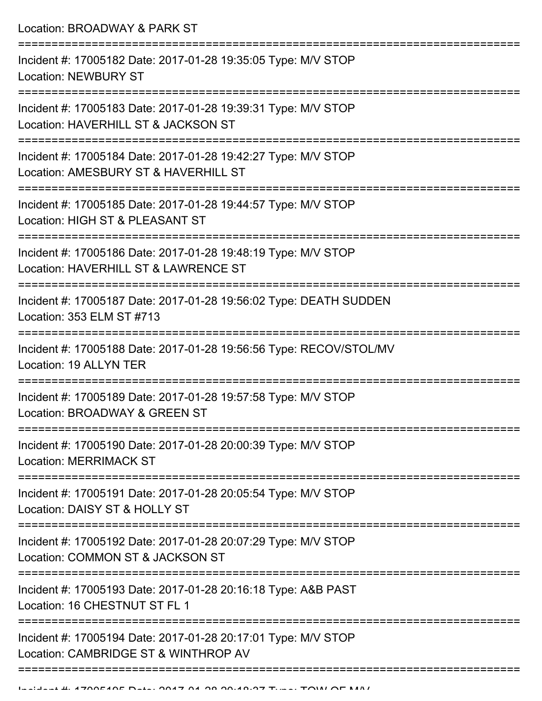Location: BROADWAY & PARK ST =========================================================================== Incident #: 17005182 Date: 2017-01-28 19:35:05 Type: M/V STOP Location: NEWBURY ST =========================================================================== Incident #: 17005183 Date: 2017-01-28 19:39:31 Type: M/V STOP Location: HAVERHILL ST & JACKSON ST =========================================================================== Incident #: 17005184 Date: 2017-01-28 19:42:27 Type: M/V STOP Location: AMESBURY ST & HAVERHILL ST =========================================================================== Incident #: 17005185 Date: 2017-01-28 19:44:57 Type: M/V STOP Location: HIGH ST & PLEASANT ST =========================================================================== Incident #: 17005186 Date: 2017-01-28 19:48:19 Type: M/V STOP Location: HAVERHILL ST & LAWRENCE ST =========================================================================== Incident #: 17005187 Date: 2017-01-28 19:56:02 Type: DEATH SUDDEN Location: 353 ELM ST #713 =========================================================================== Incident #: 17005188 Date: 2017-01-28 19:56:56 Type: RECOV/STOL/MV Location: 19 ALLYN TER =========================================================================== Incident #: 17005189 Date: 2017-01-28 19:57:58 Type: M/V STOP Location: BROADWAY & GREEN ST =========================================================================== Incident #: 17005190 Date: 2017-01-28 20:00:39 Type: M/V STOP Location: MERRIMACK ST =========================================================================== Incident #: 17005191 Date: 2017-01-28 20:05:54 Type: M/V STOP Location: DAISY ST & HOLLY ST =========================================================================== Incident #: 17005192 Date: 2017-01-28 20:07:29 Type: M/V STOP Location: COMMON ST & JACKSON ST =========================================================================== Incident #: 17005193 Date: 2017-01-28 20:16:18 Type: A&B PAST Location: 16 CHESTNUT ST FL 1 =========================================================================== Incident #: 17005194 Date: 2017-01-28 20:17:01 Type: M/V STOP Location: CAMBRIDGE ST & WINTHROP AV ===========================================================================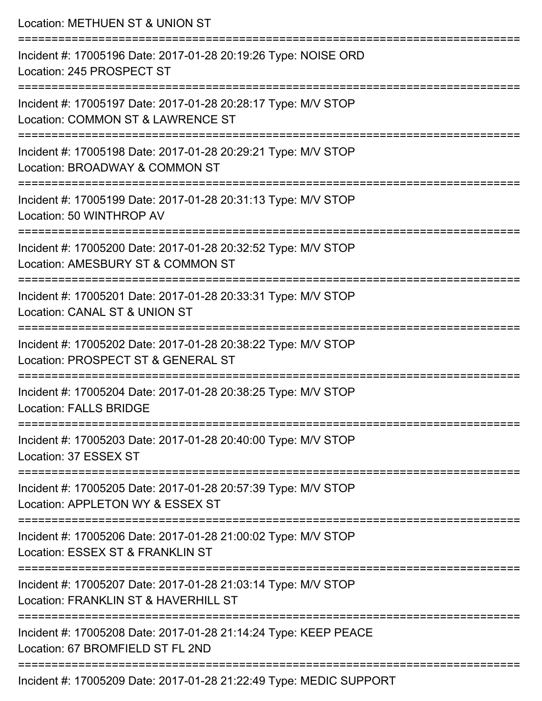| Location: METHUEN ST & UNION ST                                                                                    |
|--------------------------------------------------------------------------------------------------------------------|
| Incident #: 17005196 Date: 2017-01-28 20:19:26 Type: NOISE ORD<br>Location: 245 PROSPECT ST                        |
| Incident #: 17005197 Date: 2017-01-28 20:28:17 Type: M/V STOP<br>Location: COMMON ST & LAWRENCE ST                 |
| Incident #: 17005198 Date: 2017-01-28 20:29:21 Type: M/V STOP<br>Location: BROADWAY & COMMON ST                    |
| =====================<br>Incident #: 17005199 Date: 2017-01-28 20:31:13 Type: M/V STOP<br>Location: 50 WINTHROP AV |
| Incident #: 17005200 Date: 2017-01-28 20:32:52 Type: M/V STOP<br>Location: AMESBURY ST & COMMON ST                 |
| Incident #: 17005201 Date: 2017-01-28 20:33:31 Type: M/V STOP<br>Location: CANAL ST & UNION ST                     |
| Incident #: 17005202 Date: 2017-01-28 20:38:22 Type: M/V STOP<br>Location: PROSPECT ST & GENERAL ST                |
| Incident #: 17005204 Date: 2017-01-28 20:38:25 Type: M/V STOP<br>Location: FALLS BRIDGE                            |
| Incident #: 17005203 Date: 2017-01-28 20:40:00 Type: M/V STOP<br>Location: 37 ESSEX ST                             |
| Incident #: 17005205 Date: 2017-01-28 20:57:39 Type: M/V STOP<br>Location: APPLETON WY & ESSEX ST                  |
| Incident #: 17005206 Date: 2017-01-28 21:00:02 Type: M/V STOP<br>Location: ESSEX ST & FRANKLIN ST                  |
| Incident #: 17005207 Date: 2017-01-28 21:03:14 Type: M/V STOP<br>Location: FRANKLIN ST & HAVERHILL ST              |
| Incident #: 17005208 Date: 2017-01-28 21:14:24 Type: KEEP PEACE<br>Location: 67 BROMFIELD ST FL 2ND                |
| Incident #: 17005209 Date: 2017-01-28 21:22:49 Type: MEDIC SUPPORT                                                 |